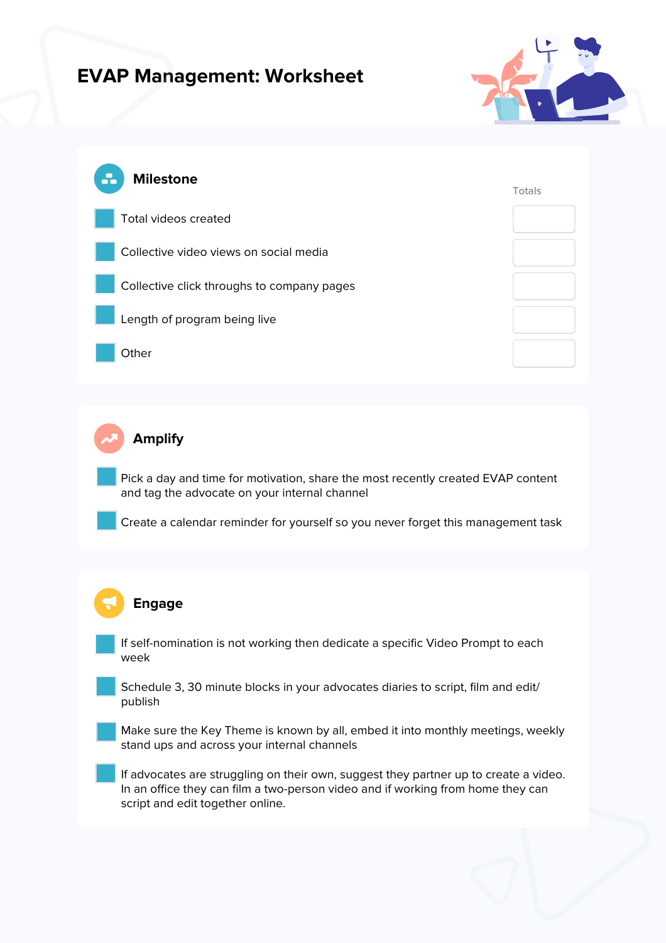## **EVAP Management: Worksheet**





**Amplify**

Pick a day and time for motivation, share the most recently created EVAP content and tag the advocate on your internal channel

Create a calendar reminder for yourself so you never forget this management task

## **Engage**

If self-nomination is not working then dedicate a specific Video Prompt to each week

Schedule 3, 30 minute blocks in your advocates diaries to script, film and edit/ publish

Make sure the Key Theme is known by all, embed it into monthly meetings, weekly stand ups and across your internal channels

If advocates are struggling on their own, suggest they partner up to create a video. In an office they can film a two-person video and if working from home they can script and edit together online.